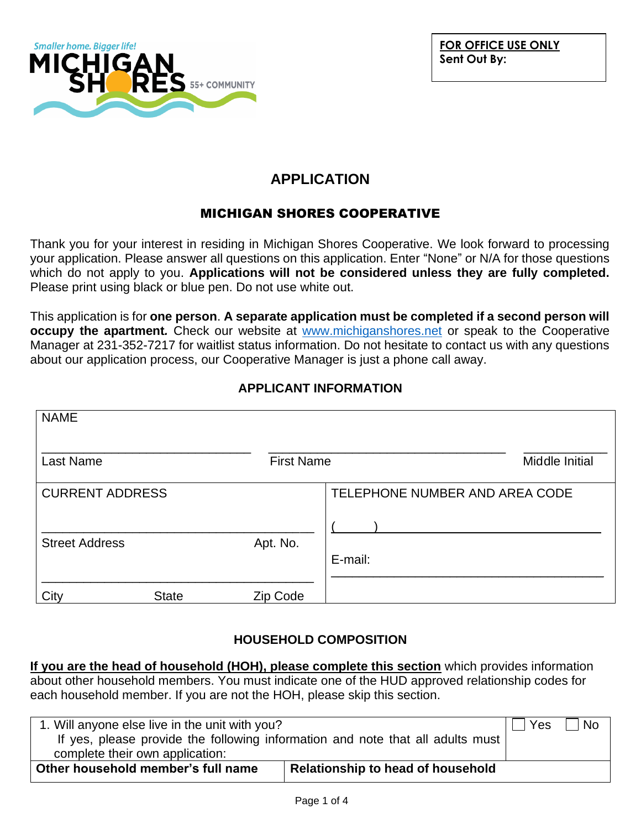

# **APPLICATION**

## MICHIGAN SHORES COOPERATIVE

Thank you for your interest in residing in Michigan Shores Cooperative. We look forward to processing your application. Please answer all questions on this application. Enter "None" or N/A for those questions which do not apply to you. **Applications will not be considered unless they are fully completed.** Please print using black or blue pen. Do not use white out.

This application is for **one person**. **A separate application must be completed if a second person will occupy the apartment***.* Check our website at [www.michiganshores.net](http://www.michiganshores.net/) or speak to the Cooperative Manager at 231-352-7217 for waitlist status information. Do not hesitate to contact us with any questions about our application process, our Cooperative Manager is just a phone call away.

## **APPLICANT INFORMATION**

| <b>NAME</b>                                     |              |                   |                                |
|-------------------------------------------------|--------------|-------------------|--------------------------------|
| Last Name                                       |              | <b>First Name</b> | Middle Initial                 |
| <b>CURRENT ADDRESS</b><br><b>Street Address</b> |              | Apt. No.          | TELEPHONE NUMBER AND AREA CODE |
| City                                            | <b>State</b> | Zip Code          | E-mail:                        |

## **HOUSEHOLD COMPOSITION**

**If you are the head of household (HOH), please complete this section** which provides information about other household members. You must indicate one of the HUD approved relationship codes for each household member. If you are not the HOH, please skip this section.

| 1. Will anyone else live in the unit with you?                                 |                                          |  | <b>No</b> |
|--------------------------------------------------------------------------------|------------------------------------------|--|-----------|
| If yes, please provide the following information and note that all adults must |                                          |  |           |
| complete their own application:                                                |                                          |  |           |
| Other household member's full name                                             | <b>Relationship to head of household</b> |  |           |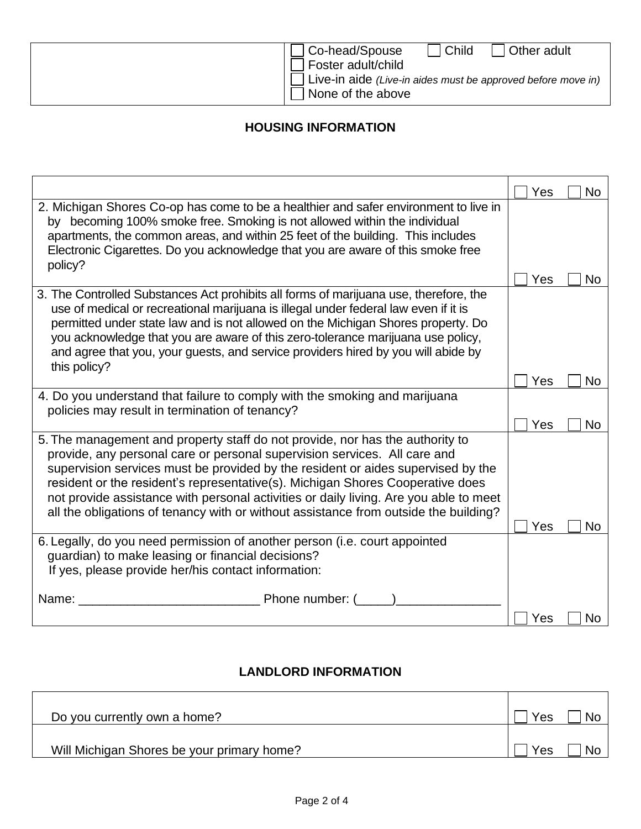| l Child<br>Co-head/Spouse<br>Other adult<br>Foster adult/child<br>Live-in aide (Live-in aides must be approved before move in) |
|--------------------------------------------------------------------------------------------------------------------------------|
| None of the above                                                                                                              |

## **HOUSING INFORMATION**

|                                                                                                                                                                                                                                                                                                                                                                                                                                                                                                                   | Yes | <b>No</b> |
|-------------------------------------------------------------------------------------------------------------------------------------------------------------------------------------------------------------------------------------------------------------------------------------------------------------------------------------------------------------------------------------------------------------------------------------------------------------------------------------------------------------------|-----|-----------|
| 2. Michigan Shores Co-op has come to be a healthier and safer environment to live in<br>by becoming 100% smoke free. Smoking is not allowed within the individual<br>apartments, the common areas, and within 25 feet of the building. This includes<br>Electronic Cigarettes. Do you acknowledge that you are aware of this smoke free<br>policy?                                                                                                                                                                |     |           |
|                                                                                                                                                                                                                                                                                                                                                                                                                                                                                                                   | Yes | No.       |
| 3. The Controlled Substances Act prohibits all forms of marijuana use, therefore, the<br>use of medical or recreational marijuana is illegal under federal law even if it is<br>permitted under state law and is not allowed on the Michigan Shores property. Do<br>you acknowledge that you are aware of this zero-tolerance marijuana use policy,<br>and agree that you, your guests, and service providers hired by you will abide by<br>this policy?                                                          |     |           |
|                                                                                                                                                                                                                                                                                                                                                                                                                                                                                                                   | Yes | No        |
| 4. Do you understand that failure to comply with the smoking and marijuana<br>policies may result in termination of tenancy?                                                                                                                                                                                                                                                                                                                                                                                      |     |           |
|                                                                                                                                                                                                                                                                                                                                                                                                                                                                                                                   | Yes | No        |
| 5. The management and property staff do not provide, nor has the authority to<br>provide, any personal care or personal supervision services. All care and<br>supervision services must be provided by the resident or aides supervised by the<br>resident or the resident's representative(s). Michigan Shores Cooperative does<br>not provide assistance with personal activities or daily living. Are you able to meet<br>all the obligations of tenancy with or without assistance from outside the building? | Yes | No        |
| 6. Legally, do you need permission of another person (i.e. court appointed<br>guardian) to make leasing or financial decisions?<br>If yes, please provide her/his contact information:                                                                                                                                                                                                                                                                                                                            |     |           |
| <b>Example 2</b> Phone number: (<br>Name:                                                                                                                                                                                                                                                                                                                                                                                                                                                                         | Yes | No.       |

## **LANDLORD INFORMATION**

| Do you currently own a home?               | Yes<br><b>Nc</b> |
|--------------------------------------------|------------------|
| Will Michigan Shores be your primary home? | <b>N</b><br>Yes  |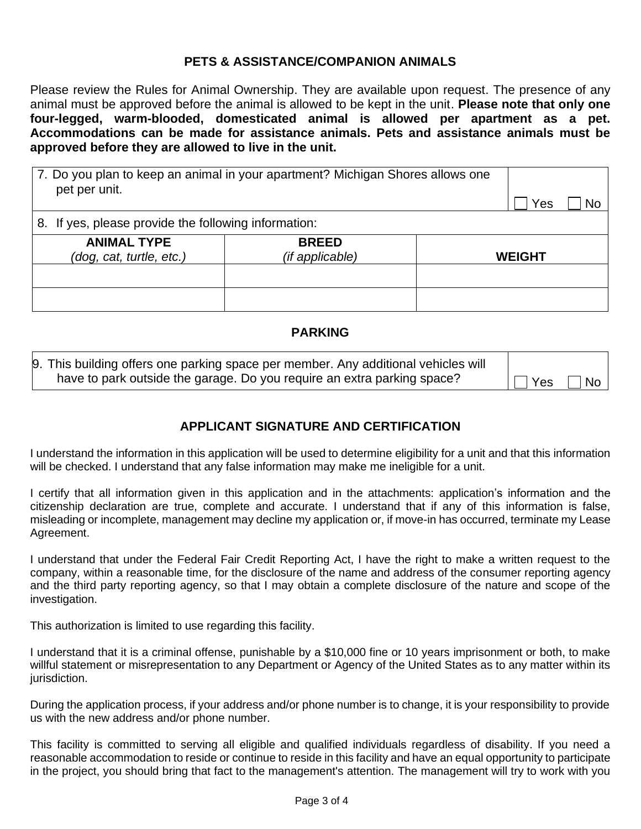#### **PETS & ASSISTANCE/COMPANION ANIMALS**

Please review the Rules for Animal Ownership. They are available upon request. The presence of any animal must be approved before the animal is allowed to be kept in the unit. **Please note that only one four-legged, warm-blooded, domesticated animal is allowed per apartment as a pet. Accommodations can be made for assistance animals. Pets and assistance animals must be approved before they are allowed to live in the unit.** 

| 7. Do you plan to keep an animal in your apartment? Michigan Shores allows one<br>pet per unit. | Yes<br>No                       |               |  |
|-------------------------------------------------------------------------------------------------|---------------------------------|---------------|--|
| 8. If yes, please provide the following information:                                            |                                 |               |  |
| <b>ANIMAL TYPE</b><br>(dog, cat, turtle, etc.)                                                  | <b>BREED</b><br>(if applicable) | <b>WEIGHT</b> |  |
|                                                                                                 |                                 |               |  |
|                                                                                                 |                                 |               |  |

#### **PARKING**

| 9. This building offers one parking space per member. Any additional vehicles will |                |           |
|------------------------------------------------------------------------------------|----------------|-----------|
| have to park outside the garage. Do you require an extra parking space?            | $ \bigcap$ Yes | $\Box$ No |

#### **APPLICANT SIGNATURE AND CERTIFICATION**

I understand the information in this application will be used to determine eligibility for a unit and that this information will be checked. I understand that any false information may make me ineligible for a unit.

I certify that all information given in this application and in the attachments: application's information and the citizenship declaration are true, complete and accurate. I understand that if any of this information is false, misleading or incomplete, management may decline my application or, if move-in has occurred, terminate my Lease Agreement.

I understand that under the Federal Fair Credit Reporting Act, I have the right to make a written request to the company, within a reasonable time, for the disclosure of the name and address of the consumer reporting agency and the third party reporting agency, so that I may obtain a complete disclosure of the nature and scope of the investigation.

This authorization is limited to use regarding this facility.

I understand that it is a criminal offense, punishable by a \$10,000 fine or 10 years imprisonment or both, to make willful statement or misrepresentation to any Department or Agency of the United States as to any matter within its jurisdiction.

During the application process, if your address and/or phone number is to change, it is your responsibility to provide us with the new address and/or phone number.

This facility is committed to serving all eligible and qualified individuals regardless of disability. If you need a reasonable accommodation to reside or continue to reside in this facility and have an equal opportunity to participate in the project, you should bring that fact to the management's attention. The management will try to work with you